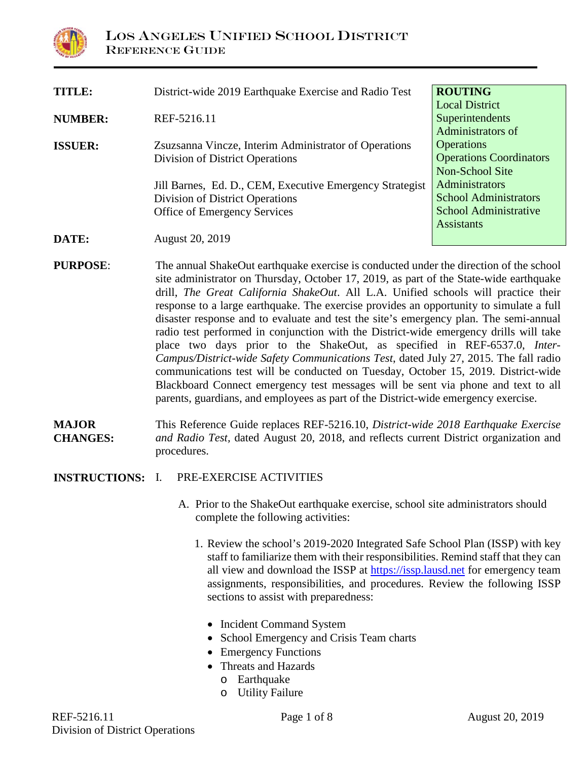

| <b>TITLE:</b>  | District-wide 2019 Earthquake Exercise and Radio Test    | <b>ROUTING</b>                 |
|----------------|----------------------------------------------------------|--------------------------------|
|                |                                                          | <b>Local District</b>          |
| <b>NUMBER:</b> | REF-5216.11                                              | Superintendents                |
|                |                                                          | Administrators of              |
| <b>ISSUER:</b> | Zsuzsanna Vincze, Interim Administrator of Operations    | <b>Operations</b>              |
|                | Division of District Operations                          | <b>Operations Coordinators</b> |
|                |                                                          | Non-School Site                |
|                | Jill Barnes, Ed. D., CEM, Executive Emergency Strategist | <b>Administrators</b>          |
|                | Division of District Operations                          | <b>School Administrators</b>   |
|                | Office of Emergency Services                             | <b>School Administrative</b>   |
|                |                                                          | <b>Assistants</b>              |
| DATE:          | <b>August 20, 2019</b>                                   |                                |

- **PURPOSE:** The annual ShakeOut earthquake exercise is conducted under the direction of the school site administrator on Thursday, October 17, 2019, as part of the State-wide earthquake drill, *The Great California ShakeOut*. All L.A. Unified schools will practice their response to a large earthquake. The exercise provides an opportunity to simulate a full disaster response and to evaluate and test the site's emergency plan. The semi-annual radio test performed in conjunction with the District-wide emergency drills will take place two days prior to the ShakeOut, as specified in REF-6537.0, *Inter-Campus/District-wide Safety Communications Test*, dated July 27, 2015. The fall radio communications test will be conducted on Tuesday, October 15, 2019. District-wide Blackboard Connect emergency test messages will be sent via phone and text to all parents, guardians, and employees as part of the District-wide emergency exercise.
- **MAJOR CHANGES:** This Reference Guide replaces REF-5216.10, *District-wide 2018 Earthquake Exercise and Radio Test,* dated August 20, 2018, and reflects current District organization and procedures.

#### **INSTRUCTIONS:** I. PRE-EXERCISE ACTIVITIES

- A. Prior to the ShakeOut earthquake exercise, school site administrators should complete the following activities:
	- 1. Review the school's 2019-2020 Integrated Safe School Plan (ISSP) with key staff to familiarize them with their responsibilities. Remind staff that they can all view and download the ISSP at [https://issp.lausd.net](https://issp.lausd.net/) for emergency team assignments, responsibilities, and procedures. Review the following ISSP sections to assist with preparedness:
		- Incident Command System
		- School Emergency and Crisis Team charts
		- Emergency Functions
		- Threats and Hazards
			- o Earthquake
			- o Utility Failure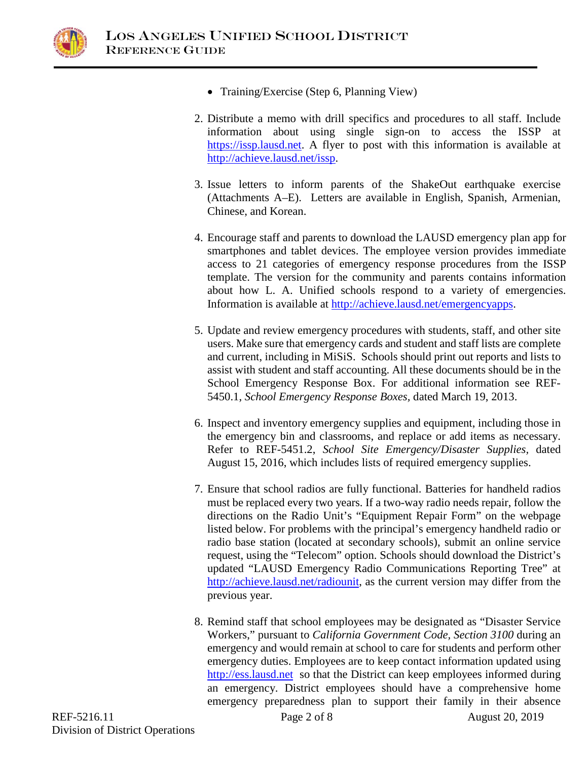

- Training/Exercise (Step 6, Planning View)
- 2. Distribute a memo with drill specifics and procedures to all staff. Include information about using single sign-on to access the ISSP at [https://issp.lausd.net.](https://issp.lausd.net/) A flyer to post with this information is available at [http://achieve.lausd.net/issp.](http://achieve.lausd.net/issp)
- 3. Issue letters to inform parents of the ShakeOut earthquake exercise (Attachments A–E). Letters are available in English, Spanish, Armenian, Chinese, and Korean.
- 4. Encourage staff and parents to download the LAUSD emergency plan app for smartphones and tablet devices. The employee version provides immediate access to 21 categories of emergency response procedures from the ISSP template. The version for the community and parents contains information about how L. A. Unified schools respond to a variety of emergencies. Information is available at [http://achieve.lausd.net/emergencyapps.](http://achieve.lausd.net/emergencyapps)
- 5. Update and review emergency procedures with students, staff, and other site users. Make sure that emergency cards and student and staff lists are complete and current, including in MiSiS. Schools should print out reports and lists to assist with student and staff accounting. All these documents should be in the School Emergency Response Box. For additional information see REF-5450.1, *School Emergency Response Boxes,* dated March 19, 2013.
- 6. Inspect and inventory emergency supplies and equipment, including those in the emergency bin and classrooms, and replace or add items as necessary. Refer to REF-5451.2, *School Site Emergency/Disaster Supplies,* dated August 15, 2016, which includes lists of required emergency supplies.
- 7. Ensure that school radios are fully functional. Batteries for handheld radios must be replaced every two years. If a two-way radio needs repair, follow the directions on the Radio Unit's "Equipment Repair Form" on the webpage listed below. For problems with the principal's emergency handheld radio or radio base station (located at secondary schools), submit an online service request, using the "Telecom" option. Schools should download the District's updated "LAUSD Emergency Radio Communications Reporting Tree" at [http://achieve.lausd.net/radiounit,](http://achieve.lausd.net/radiounit) as the current version may differ from the previous year.
- 8. Remind staff that school employees may be designated as "Disaster Service Workers," pursuant to *California Government Code, Section 3100* during an emergency and would remain at school to care for students and perform other emergency duties. Employees are to keep contact information updated using [http://ess.lausd.net](http://ess.lausd.net/) so that the District can keep employees informed during an emergency. District employees should have a comprehensive home emergency preparedness plan to support their family in their absence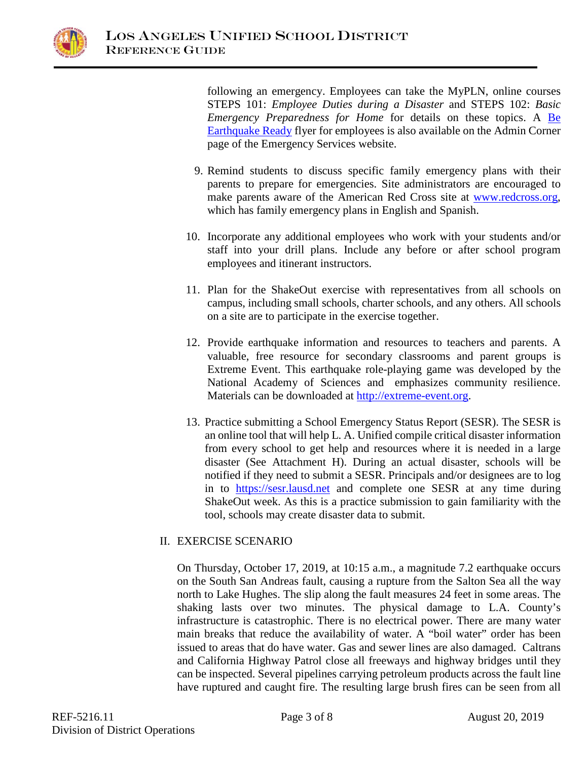

following an emergency. Employees can take the MyPLN, online courses STEPS 101: *Employee Duties during a Disaster* and STEPS 102: *Basic Emergency Preparedness for Home* for details on these topics. A [Be](https://achieve.lausd.net/Page/2692)  [Earthquake Ready](https://achieve.lausd.net/Page/2692) flyer for employees is also available on the Admin Corner page of the Emergency Services website.

- 9. Remind students to discuss specific family emergency plans with their parents to prepare for emergencies. Site administrators are encouraged to make parents aware of the American Red Cross site at [www.redcross.org,](http://www.redcross.org/) which has family emergency plans in English and Spanish.
- 10. Incorporate any additional employees who work with your students and/or staff into your drill plans. Include any before or after school program employees and itinerant instructors.
- 11. Plan for the ShakeOut exercise with representatives from all schools on campus, including small schools, charter schools, and any others. All schools on a site are to participate in the exercise together.
- 12. Provide earthquake information and resources to teachers and parents. A valuable, free resource for secondary classrooms and parent groups is Extreme Event. This earthquake role-playing game was developed by the National Academy of Sciences and emphasizes community resilience. Materials can be downloaded at [http://extreme-event.org.](http://extreme-event.org/)
- 13. Practice submitting a School Emergency Status Report (SESR). The SESR is an online tool that will help L. A. Unified compile critical disaster information from every school to get help and resources where it is needed in a large disaster (See Attachment H). During an actual disaster, schools will be notified if they need to submit a SESR. Principals and/or designees are to log in to [https://sesr.lausd.net](https://sesr.lausd.net/) and complete one SESR at any time during ShakeOut week. As this is a practice submission to gain familiarity with the tool, schools may create disaster data to submit.

### II. EXERCISE SCENARIO

On Thursday, October 17, 2019, at 10:15 a.m., a magnitude 7.2 earthquake occurs on the South San Andreas fault, causing a rupture from the Salton Sea all the way north to Lake Hughes. The slip along the fault measures 24 feet in some areas. The shaking lasts over two minutes. The physical damage to L.A. County's infrastructure is catastrophic. There is no electrical power. There are many water main breaks that reduce the availability of water. A "boil water" order has been issued to areas that do have water. Gas and sewer lines are also damaged. Caltrans and California Highway Patrol close all freeways and highway bridges until they can be inspected. Several pipelines carrying petroleum products across the fault line have ruptured and caught fire. The resulting large brush fires can be seen from all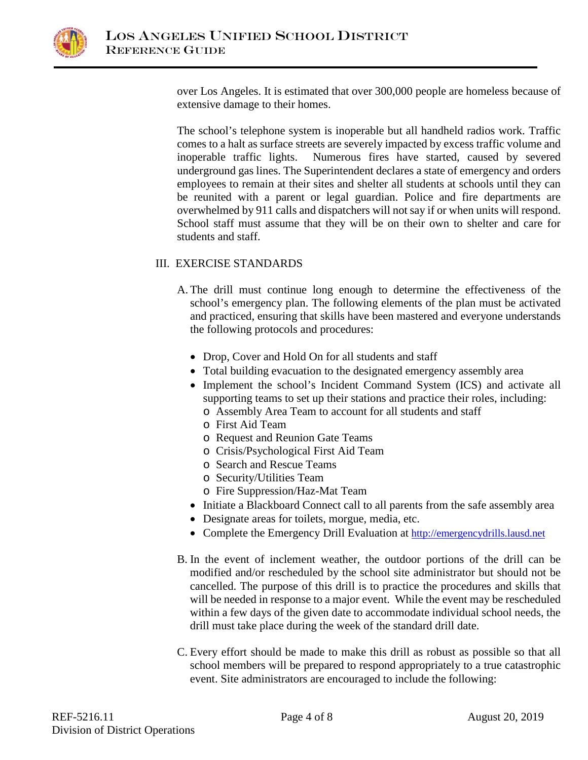

over Los Angeles. It is estimated that over 300,000 people are homeless because of extensive damage to their homes.

The school's telephone system is inoperable but all handheld radios work. Traffic comes to a halt as surface streets are severely impacted by excess traffic volume and inoperable traffic lights. Numerous fires have started, caused by severed underground gas lines. The Superintendent declares a state of emergency and orders employees to remain at their sites and shelter all students at schools until they can be reunited with a parent or legal guardian. Police and fire departments are overwhelmed by 911 calls and dispatchers will not say if or when units will respond. School staff must assume that they will be on their own to shelter and care for students and staff.

### III.EXERCISE STANDARDS

- A. The drill must continue long enough to determine the effectiveness of the school's emergency plan. The following elements of the plan must be activated and practiced, ensuring that skills have been mastered and everyone understands the following protocols and procedures:
	- Drop, Cover and Hold On for all students and staff
	- Total building evacuation to the designated emergency assembly area
	- Implement the school's Incident Command System (ICS) and activate all supporting teams to set up their stations and practice their roles, including:
		- o Assembly Area Team to account for all students and staff
		- o First Aid Team
		- o Request and Reunion Gate Teams
		- o Crisis/Psychological First Aid Team
		- o Search and Rescue Teams
		- o Security/Utilities Team
		- o Fire Suppression/Haz-Mat Team
	- Initiate a Blackboard Connect call to all parents from the safe assembly area
	- Designate areas for toilets, morgue, media, etc.
	- Complete the Emergency Drill Evaluation at [http://emergencydrills.lausd.net](http://emergencydrills.lausd.net/)
- B. In the event of inclement weather, the outdoor portions of the drill can be modified and/or rescheduled by the school site administrator but should not be cancelled. The purpose of this drill is to practice the procedures and skills that will be needed in response to a major event. While the event may be rescheduled within a few days of the given date to accommodate individual school needs, the drill must take place during the week of the standard drill date.
- C. Every effort should be made to make this drill as robust as possible so that all school members will be prepared to respond appropriately to a true catastrophic event. Site administrators are encouraged to include the following: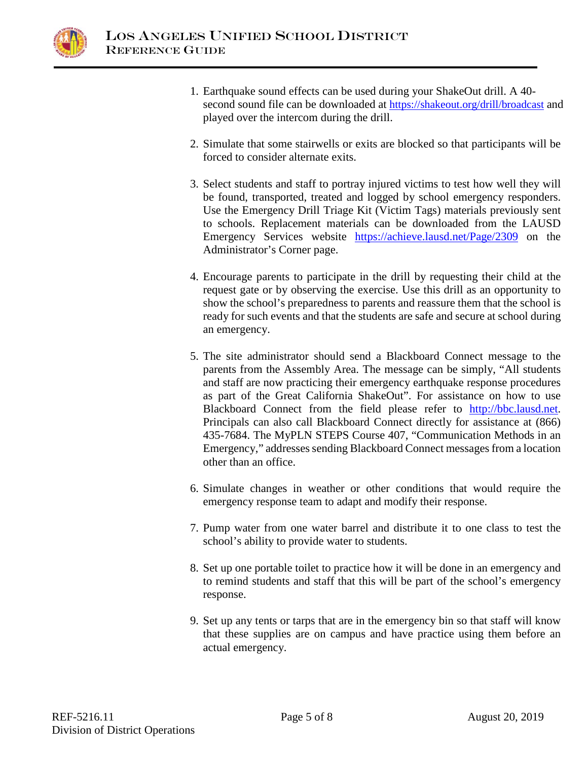

- 1. Earthquake sound effects can be used during your ShakeOut drill. A 40 second sound file can be downloaded at<https://shakeout.org/drill/broadcast> and played over the intercom during the drill.
- 2. Simulate that some stairwells or exits are blocked so that participants will be forced to consider alternate exits.
- 3. Select students and staff to portray injured victims to test how well they will be found, transported, treated and logged by school emergency responders. Use the Emergency Drill Triage Kit (Victim Tags) materials previously sent to schools. Replacement materials can be downloaded from the LAUSD Emergency Services website <https://achieve.lausd.net/Page/2309> on the Administrator's Corner page.
- 4. Encourage parents to participate in the drill by requesting their child at the request gate or by observing the exercise. Use this drill as an opportunity to show the school's preparedness to parents and reassure them that the school is ready for such events and that the students are safe and secure at school during an emergency.
- 5. The site administrator should send a Blackboard Connect message to the parents from the Assembly Area. The message can be simply, "All students and staff are now practicing their emergency earthquake response procedures as part of the Great California ShakeOut". For assistance on how to use Blackboard Connect from the field please refer to [http://bbc.lausd.net.](http://bbc.lausd.net/) Principals can also call Blackboard Connect directly for assistance at (866) 435-7684. The MyPLN STEPS Course 407, "Communication Methods in an Emergency," addresses sending Blackboard Connect messages from a location other than an office.
- 6. Simulate changes in weather or other conditions that would require the emergency response team to adapt and modify their response.
- 7. Pump water from one water barrel and distribute it to one class to test the school's ability to provide water to students.
- 8. Set up one portable toilet to practice how it will be done in an emergency and to remind students and staff that this will be part of the school's emergency response.
- 9. Set up any tents or tarps that are in the emergency bin so that staff will know that these supplies are on campus and have practice using them before an actual emergency.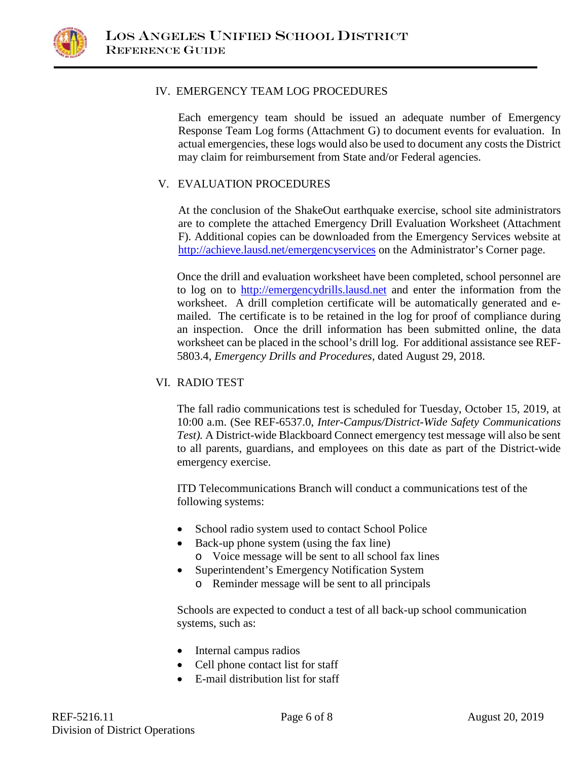

### IV.EMERGENCY TEAM LOG PROCEDURES

Each emergency team should be issued an adequate number of Emergency Response Team Log forms (Attachment G) to document events for evaluation. In actual emergencies, these logs would also be used to document any costs the District may claim for reimbursement from State and/or Federal agencies.

### V. EVALUATION PROCEDURES

At the conclusion of the ShakeOut earthquake exercise, school site administrators are to complete the attached Emergency Drill Evaluation Worksheet (Attachment F). Additional copies can be downloaded from the Emergency Services website at <http://achieve.lausd.net/emergencyservices> on the Administrator's Corner page.

Once the drill and evaluation worksheet have been completed, school personnel are to log on to [http://emergencydrills.lausd.net](http://emergencydrills.lausd.net/) and enter the information from the worksheet. A drill completion certificate will be automatically generated and emailed. The certificate is to be retained in the log for proof of compliance during an inspection. Once the drill information has been submitted online, the data worksheet can be placed in the school's drill log. For additional assistance see REF-5803.4, *Emergency Drills and Procedures,* dated August 29, 2018.

### VI. RADIO TEST

The fall radio communications test is scheduled for Tuesday, October 15, 2019, at 10:00 a.m. (See REF-6537.0, *Inter-Campus/District-Wide Safety Communications Test).* A District-wide Blackboard Connect emergency test message will also be sent to all parents, guardians, and employees on this date as part of the District-wide emergency exercise.

ITD Telecommunications Branch will conduct a communications test of the following systems:

- School radio system used to contact School Police
- Back-up phone system (using the fax line)
	- o Voice message will be sent to all school fax lines
- Superintendent's Emergency Notification System
	- o Reminder message will be sent to all principals

Schools are expected to conduct a test of all back-up school communication systems, such as:

- Internal campus radios
- Cell phone contact list for staff
- E-mail distribution list for staff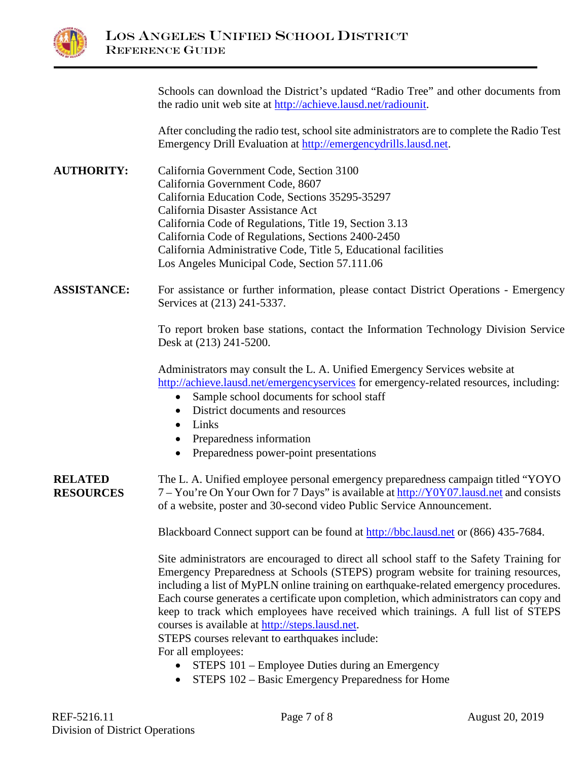

|                                    | Schools can download the District's updated "Radio Tree" and other documents from<br>the radio unit web site at http://achieve.lausd.net/radiounit.                                                                                                                                                                                                                                                                                                                                                                                                                              |  |  |  |  |  |
|------------------------------------|----------------------------------------------------------------------------------------------------------------------------------------------------------------------------------------------------------------------------------------------------------------------------------------------------------------------------------------------------------------------------------------------------------------------------------------------------------------------------------------------------------------------------------------------------------------------------------|--|--|--|--|--|
|                                    | After concluding the radio test, school site administrators are to complete the Radio Test<br>Emergency Drill Evaluation at http://emergencydrills.lausd.net.                                                                                                                                                                                                                                                                                                                                                                                                                    |  |  |  |  |  |
| <b>AUTHORITY:</b>                  | California Government Code, Section 3100<br>California Government Code, 8607<br>California Education Code, Sections 35295-35297<br>California Disaster Assistance Act<br>California Code of Regulations, Title 19, Section 3.13<br>California Code of Regulations, Sections 2400-2450<br>California Administrative Code, Title 5, Educational facilities<br>Los Angeles Municipal Code, Section 57.111.06                                                                                                                                                                        |  |  |  |  |  |
| <b>ASSISTANCE:</b>                 | For assistance or further information, please contact District Operations - Emergency<br>Services at (213) 241-5337.                                                                                                                                                                                                                                                                                                                                                                                                                                                             |  |  |  |  |  |
|                                    | To report broken base stations, contact the Information Technology Division Service<br>Desk at (213) 241-5200.                                                                                                                                                                                                                                                                                                                                                                                                                                                                   |  |  |  |  |  |
|                                    | Administrators may consult the L. A. Unified Emergency Services website at<br>http://achieve.lausd.net/emergencyservices for emergency-related resources, including:<br>Sample school documents for school staff<br>$\bullet$<br>District documents and resources<br>$\bullet$<br>Links<br>$\bullet$<br>Preparedness information<br>Preparedness power-point presentations<br>$\bullet$                                                                                                                                                                                          |  |  |  |  |  |
| <b>RELATED</b><br><b>RESOURCES</b> | The L. A. Unified employee personal emergency preparedness campaign titled "YOYO"<br>7 – You're On Your Own for 7 Days" is available at http://Y0Y07.lausd.net and consists<br>of a website, poster and 30-second video Public Service Announcement.                                                                                                                                                                                                                                                                                                                             |  |  |  |  |  |
|                                    | Blackboard Connect support can be found at http://bbc.lausd.net or (866) 435-7684.                                                                                                                                                                                                                                                                                                                                                                                                                                                                                               |  |  |  |  |  |
|                                    | Site administrators are encouraged to direct all school staff to the Safety Training for<br>Emergency Preparedness at Schools (STEPS) program website for training resources,<br>including a list of MyPLN online training on earthquake-related emergency procedures.<br>Each course generates a certificate upon completion, which administrators can copy and<br>keep to track which employees have received which trainings. A full list of STEPS<br>courses is available at http://steps.lausd.net.<br>STEPS courses relevant to earthquakes include:<br>For all employees: |  |  |  |  |  |
|                                    | STEPS 101 – Employee Duties during an Emergency<br>STEPS 102 - Basic Emergency Preparedness for Home                                                                                                                                                                                                                                                                                                                                                                                                                                                                             |  |  |  |  |  |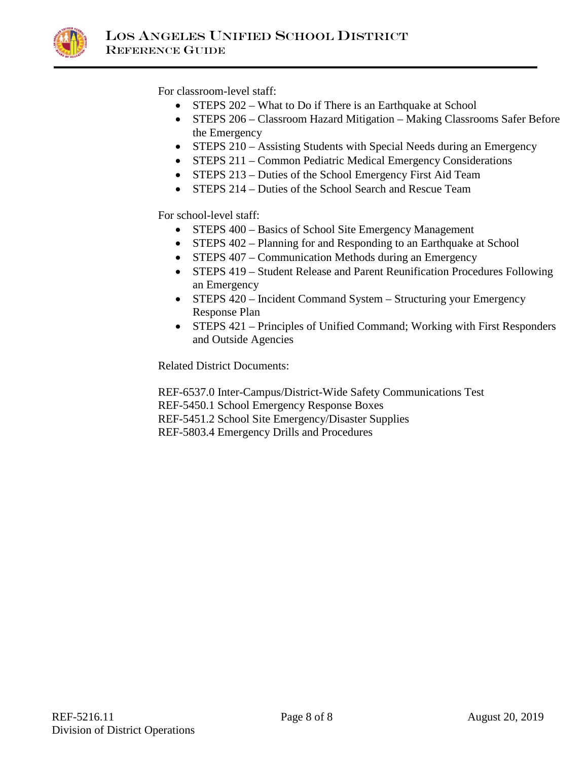

For classroom-level staff:

- STEPS 202 What to Do if There is an Earthquake at School
- STEPS 206 Classroom Hazard Mitigation Making Classrooms Safer Before the Emergency
- STEPS 210 Assisting Students with Special Needs during an Emergency
- STEPS 211 Common Pediatric Medical Emergency Considerations
- STEPS 213 Duties of the School Emergency First Aid Team
- STEPS 214 Duties of the School Search and Rescue Team

For school-level staff:

- STEPS 400 Basics of School Site Emergency Management
- STEPS 402 Planning for and Responding to an Earthquake at School
- STEPS 407 Communication Methods during an Emergency
- STEPS 419 Student Release and Parent Reunification Procedures Following an Emergency
- STEPS 420 Incident Command System Structuring your Emergency Response Plan
- STEPS 421 Principles of Unified Command; Working with First Responders and Outside Agencies

Related District Documents:

REF-6537.0 Inter-Campus/District-Wide Safety Communications Test REF-5450.1 School Emergency Response Boxes REF-5451.2 School Site Emergency/Disaster Supplies REF-5803.4 Emergency Drills and Procedures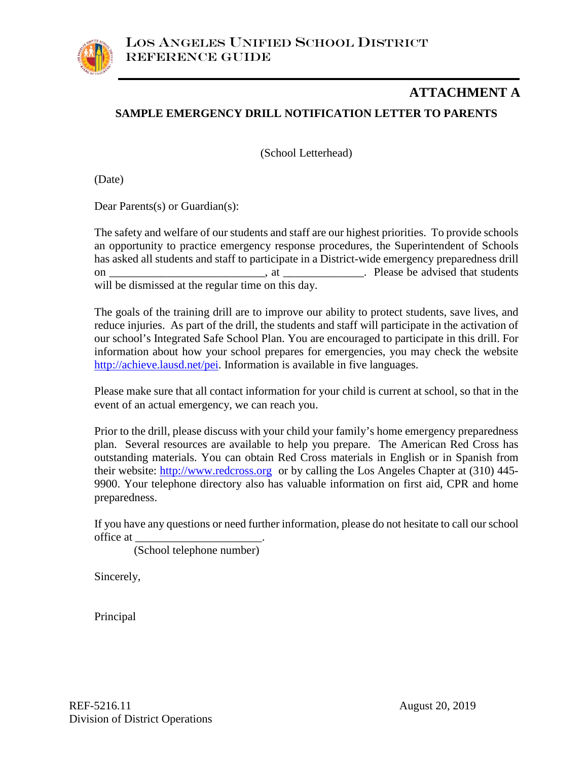## **SAMPLE EMERGENCY DRILL NOTIFICATION LETTER TO PARENTS ATTACHMENT A**

(School Letterhead)

(Date)

Dear Parents(s) or Guardian(s):

The safety and welfare of our students and staff are our highest priorities. To provide schools an opportunity to practice emergency response procedures, the Superintendent of Schools has asked all students and staff to participate in a District-wide emergency preparedness drill on \_\_\_\_\_\_\_\_\_\_\_\_\_\_\_\_\_\_\_\_\_\_\_\_\_\_\_, at \_\_\_\_\_\_\_\_\_\_\_\_\_\_. Please be advised that students will be dismissed at the regular time on this day.

The goals of the training drill are to improve our ability to protect students, save lives, and reduce injuries. As part of the drill, the students and staff will participate in the activation of our school's Integrated Safe School Plan. You are encouraged to participate in this drill. For information about how your school prepares for emergencies, you may check the website [http://achieve.lausd.net/pei.](http://achieve.lausd.net/pei) Information is available in five languages.

Please make sure that all contact information for your child is current at school, so that in the event of an actual emergency, we can reach you.

Prior to the drill, please discuss with your child your family's home emergency preparedness plan. Several resources are available to help you prepare. The American Red Cross has outstanding materials. You can obtain Red Cross materials in English or in Spanish from their website: [http://www.redcross.org](http://www.redcross.org/) or by calling the Los Angeles Chapter at (310) 445-9900. Your telephone directory also has valuable information on first aid, CPR and home preparedness.

If you have any questions or need further information, please do not hesitate to call our school office at \_\_\_\_\_\_\_\_\_\_\_\_\_\_\_\_\_\_\_\_\_\_.

(School telephone number)

Sincerely,

Principal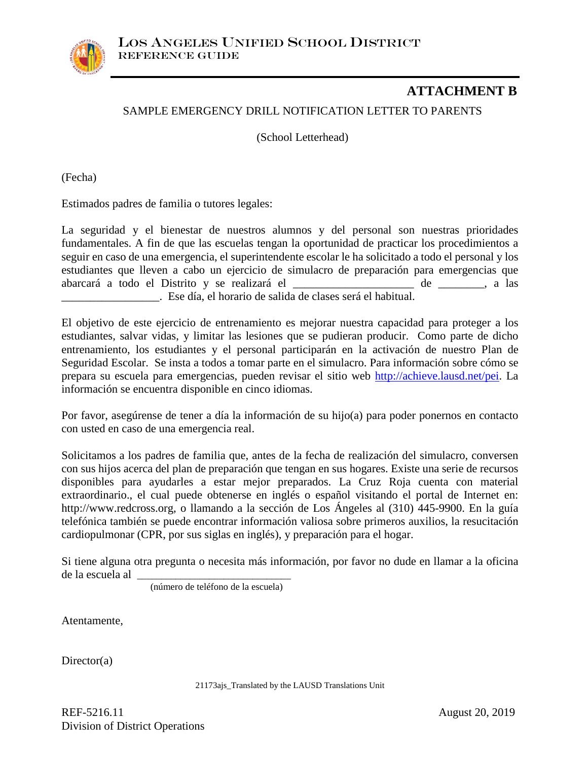

## **ATTACHMENT B**

### SAMPLE EMERGENCY DRILL NOTIFICATION LETTER TO PARENTS

(School Letterhead)

(Fecha)

Estimados padres de familia o tutores legales:

La seguridad y el bienestar de nuestros alumnos y del personal son nuestras prioridades fundamentales. A fin de que las escuelas tengan la oportunidad de practicar los procedimientos a seguir en caso de una emergencia, el superintendente escolar le ha solicitado a todo el personal y los estudiantes que lleven a cabo un ejercicio de simulacro de preparación para emergencias que abarcará a todo el Distrito y se realizará el \_\_\_\_\_\_\_\_\_\_\_\_\_\_\_\_\_\_\_\_\_ de \_\_\_\_\_\_\_\_, a las \_\_\_\_\_\_\_\_\_\_\_\_\_\_\_\_\_. Ese día, el horario de salida de clases será el habitual.

El objetivo de este ejercicio de entrenamiento es mejorar nuestra capacidad para proteger a los estudiantes, salvar vidas, y limitar las lesiones que se pudieran producir. Como parte de dicho entrenamiento, los estudiantes y el personal participarán en la activación de nuestro Plan de Seguridad Escolar. Se insta a todos a tomar parte en el simulacro. Para información sobre cómo se prepara su escuela para emergencias, pueden revisar el sitio web [http://achieve.lausd.net/pei.](http://achieve.lausd.net/pei) La información se encuentra disponible en cinco idiomas.

Por favor, asegúrense de tener a día la información de su hijo(a) para poder ponernos en contacto con usted en caso de una emergencia real.

Solicitamos a los padres de familia que, antes de la fecha de realización del simulacro, conversen con sus hijos acerca del plan de preparación que tengan en sus hogares. Existe una serie de recursos disponibles para ayudarles a estar mejor preparados. La Cruz Roja cuenta con material extraordinario., el cual puede obtenerse en inglés o español visitando el portal de Internet en: http://www.redcross.org, o llamando a la sección de Los Ángeles al (310) 445-9900. En la guía telefónica también se puede encontrar información valiosa sobre primeros auxilios, la resucitación cardiopulmonar (CPR, por sus siglas en inglés), y preparación para el hogar.

Si tiene alguna otra pregunta o necesita más información, por favor no dude en llamar a la oficina de la escuela al \_\_\_\_\_\_\_\_\_\_\_\_\_\_\_\_\_\_\_\_\_\_\_\_\_\_\_\_\_\_\_\_

(número de teléfono de la escuela)

Atentamente,

Director(a)

21173ajs\_Translated by the LAUSD Translations Unit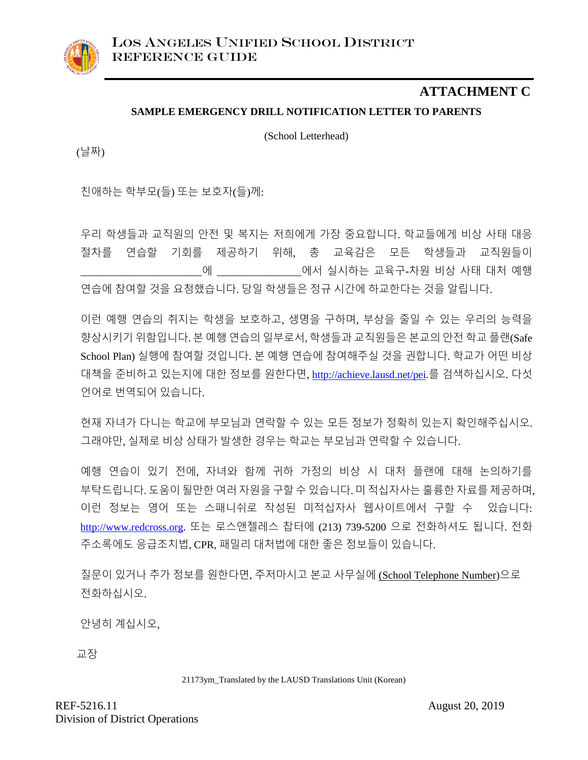### **SAMPLE EMERGENCY DRILL NOTIFICATION LETTER TO PARENTS ATTACHMENT C**

(School Letterhead)

(날짜)

친애하는 학부모(들) 또는 보호자(들)께:

우리 학생들과 교직원의 안전 및 복지는 저희에게 가장 중요합니다. 학교들에게 비상 사태 대응 절차를 연습할 기회를 제공하기 위해, 총 교육감은 모든 학생들과 교직원들이 \_\_\_\_\_\_\_\_\_\_\_\_\_\_\_\_\_\_\_\_\_\_\_에 \_\_\_\_\_\_\_\_\_\_\_\_\_\_\_\_에서 실시하는 교육구-차원 비상 사태 대처 예행 연습에 참여할 것을 요청했습니다. 당일 학생들은 정규 시간에 하교한다는 것을 알립니다.

이런 예행 연습의 취지는 학생을 보호하고, 생명을 구하며, 부상을 줄일 수 있는 우리의 능력을 향상시키기 위함입니다. 본 예행 연습의 일부로서, 학생들과 교직원들은 본교의 안전 학교 플랜(Safe School Plan) 실행에 참여할 것입니다. 본 예행 연습에 참여해주실 것을 권합니다. 학교가 어떤 비상 대책을 준비하고 있는지에 대한 정보를 원한다면, [http://achieve.lausd.net/pei.](http://achieve.lausd.net/pei)를 검색하십시오. 다섯 언어로 번역되어 있습니다.

현재 자녀가 다니는 학교에 부모님과 연락할 수 있는 모든 정보가 정확히 있는지 확인해주십시오. 그래야만, 실제로 비상 상태가 발생한 경우는 학교는 부모님과 연락할 수 있습니다.

예행 연습이 있기 전에, 자녀와 함께 귀하 가정의 비상 시 대처 플랜에 대해 논의하기를 부탁드립니다. 도움이 될만한 여러 자원을 구할 수 있습니다. 미 적십자사는 훌륭한 자료를 제공하며, 이런 정보는 영어 또는 스패니쉬로 작성된 미적십자사 웹사이트에서 구할 수 있습니다: [http://www.redcross.org.](http://www.redcross.org/) 또는 로스앤젤레스 찹터에 (213) 739-5200 으로 전화하셔도 됩니다. 전화 주소록에도 응급조치법, CPR, 패밀리 대처법에 대한 좋은 정보들이 있습니다.

질문이 있거나 추가 정보를 원한다면, 주저마시고 본교 사무실에 (School Telephone Number)으로 전화하십시오.

안녕히 계십시오,

교장

21173ym\_Translated by the LAUSD Translations Unit (Korean)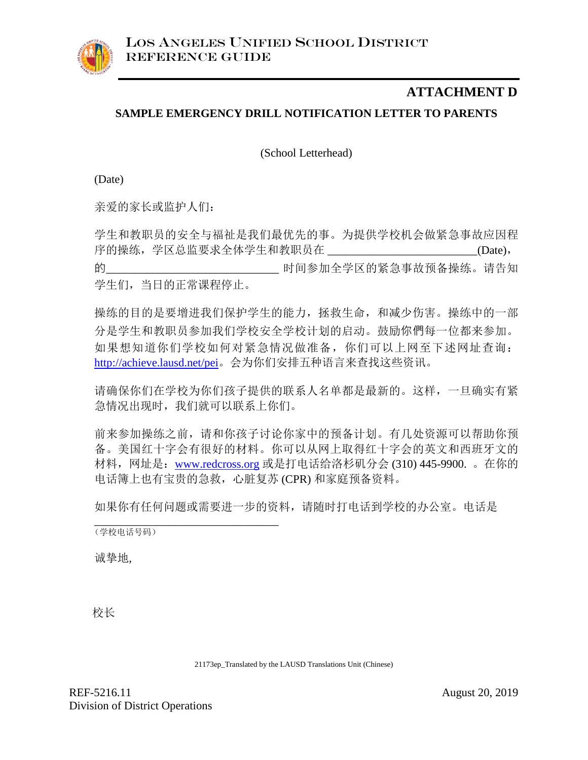

## **ATTACHMENT D**

### **SAMPLE EMERGENCY DRILL NOTIFICATION LETTER TO PARENTS**

(School Letterhead)

(Date)

亲爱的家长或监护人们:

学生和教职员的安全与福祉是我们最优先的事。为提供学校机会做紧急事故应因程 序的操练,学区总监要求全体学生和教职员在 \_\_\_\_\_\_\_\_\_\_\_\_\_\_\_\_\_\_\_\_\_\_\_\_\_\_(Date), 的\_\_\_\_\_\_\_\_\_\_\_\_\_\_\_\_\_\_\_\_\_\_\_\_\_\_\_\_\_时间参加全学区的紧急事故预备操练。请告知 学生们,当日的正常课程停止。

操练的目的是要增进我们保护学生的能力,拯救生命,和减少伤害。操练中的一部 分是学生和教职员参加我们学校安全学校计划的启动。鼓励你們每一位都来参加。 如果想知道你们学校如何对紧急情况做准备,你们可以上网至下述网址查询: <http://achieve.lausd.net/pei>。会为你们安排五种语言来查找这些资讯。

请确保你们在学校为你们孩子提供的联系人名单都是最新的。这样,一旦确实有紧 急情况出现时,我们就可以联系上你们。

前来参加操练之前,请和你孩子讨论你家中的预备计划。有几处资源可以帮助你预 备。美国红十字会有很好的材料。你可以从网上取得红十字会的英文和西班牙文的 材料,网址是:[www.redcross.org](http://www.redcross.org/) 或是打电话给洛杉矶分会 (310) 445-9900. 。在你的 电话簿上也有宝贵的急救,心脏复苏 (CPR) 和家庭预备资料。

如果你有任何问题或需要进一步的资料,请随时打电话到学校的办公室。电话是

\_\_\_\_\_\_\_\_\_\_\_\_\_\_\_\_\_\_\_\_\_\_\_\_\_\_\_\_\_\_\_\_ (学校电话号码)

诚挚地,

校长

21173ep\_Translated by the LAUSD Translations Unit (Chinese)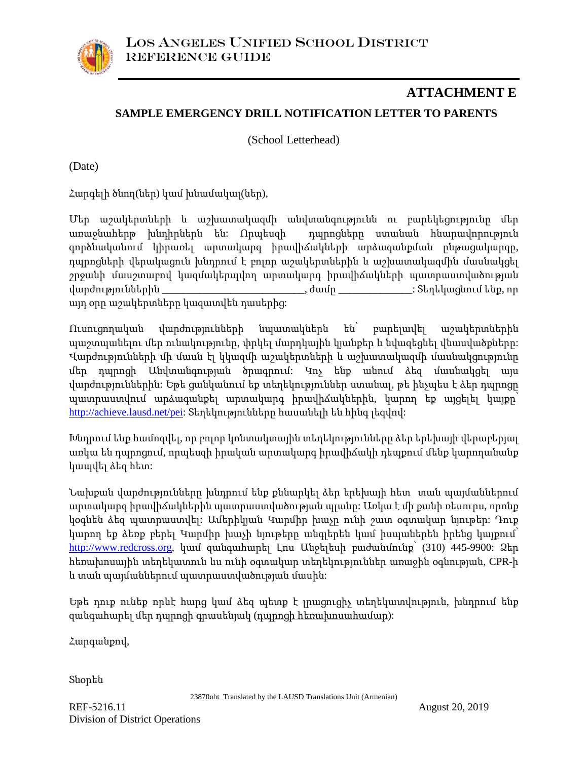## **SAMPLE EMERGENCY DRILL NOTIFICATION LETTER TO PARENTS ATTACHMENT E**

(School Letterhead)

(Date)

Հարգելի ծնող(ներ) կամ խնամակալ(ներ),

Մեր աշակերտների և աշխատակազմի անվտանգությունն ու բարեկեցությունը մեր առաջնահերթ խնդիրներն են: Որպեսզի դպրոցները ստանան հնարավորություն գործնականում կիրառել արտակարգ իրավիճակների արձագանքման ընթացակարգը, դպրոցների վերակացուն խնդրում է բոլոր աշակերտներին և աշխատակազմին մասնակցել շրջանի մասշտաբով կազմակերպվող արտակարգ իրավիճակների պատրաստվածության վարժություններին \_\_\_\_\_\_\_\_\_\_\_\_\_\_\_\_\_\_\_\_\_\_\_\_\_\_\_, ժամը \_\_\_\_\_\_\_\_\_\_\_\_\_\_: Տեղեկացնում ենք, որ այդ օրը աշակերտները կազատվեն դասերից:

Ուսուցողական վարժությունների նպատակներն են՝ բարելավել աշակերտներին պաշտպանելու մեր ունակությունը, փրկել մարդկային կյանքեր և նվազեցնել վնասվածքները: Վարժությունների մի մասն էլ կկազմի աշակերտների և աշխատակազմի մասնակցությունը մեր դպրոցի Անվտանգության ծրագրում: Կոչ ենք անում ձեզ մասնակցել այս վարժություններին: Եթե ցանկանում եք տեղեկություններ ստանալ, թե ինչպես է ձեր դպրոցը պատրաստվում արձագանքել արտակարգ իրավիճակներին, կարող եք այցելել կայքը՝ [http://achieve.lausd.net/pei:](http://achieve.lausd.net/pei) Տեղեկությունները հասանելի են հինգ լեզվով:

Խնդրում ենք համոզվել, որ բոլոր կոնտակտային տեղեկությունները ձեր երեխայի վերաբերյալ առկա են դպրոցում, որպեսզի իրական արտակարգ իրավիճակի դեպքում մենք կարողանանք կապվել ձեզ հետ:

Նախքան վարժությունները խնդրում ենք քննարկել ձեր երեխայի հետ տան պայմաններում արտակարգ իրավիճակներին պատրաստվածության պլանը: Առկա է մի քանի ռեսուրս, որոնք կօգնեն ձեզ պատրաստվել: Ամերիկյան Կարմիր խաչը ունի շատ օգտակար նյութեր: Դուք կարող եք ձեռք բերել Կարմիր խաչի նյութերը անգլերեն կամ իսպաներեն իրենց կայքում՝ [http://www.redcross.org,](http://www.redcross.org/) կամ զանգահարել Լոս Անջելեսի բաժանմունք՝ (310) 445-9900: Ձեր հեռախոսային տեղեկատուն ևս ունի օգտակար տեղեկություններ առաջին օգնության, CPR-ի և տան պայմաններում պատրաստվածության մասին:

Եթե դուք ունեք որևէ հարց կամ ձեզ պետք է լրացուցիչ տեղեկատվություն, խնդրում ենք զանգահարել մեր դպրոցի գրասենյակ (դպրոցի հեռախոսահամար):

Հարգանքով,

Տնօրեն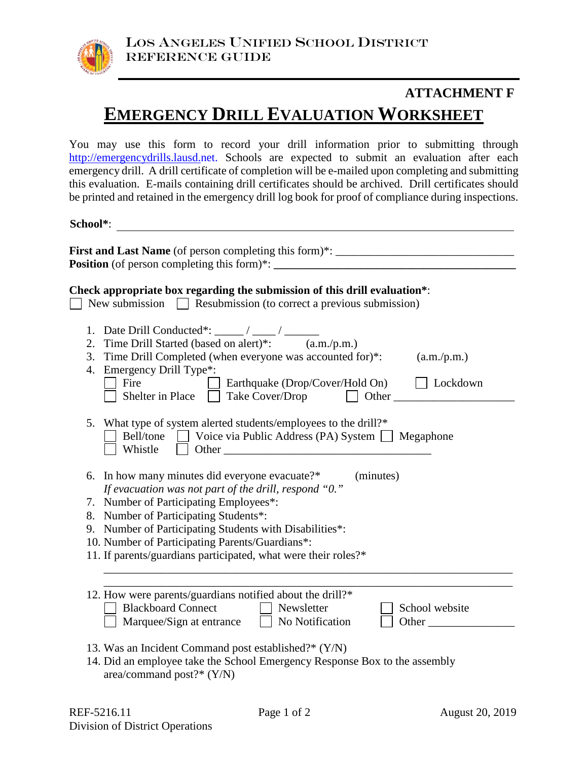

# **EMERGENCY DRILL EVALUATION WORKSHEET ATTACHMENT F**

You may use this form to record your drill information prior to submitting through [http://emergencydrills.lausd.net.](http://emergencydrills.lausd.net/) Schools are expected to submit an evaluation after each emergency drill. A drill certificate of completion will be e-mailed upon completing and submitting this evaluation. E-mails containing drill certificates should be archived. Drill certificates should be printed and retained in the emergency drill log book for proof of compliance during inspections.

**School\***:

| First and Last Name (of person completing this form)*: __________________________<br><b>Position</b> (of person completing this form) <sup>*</sup> :                                                                                                                                          |
|-----------------------------------------------------------------------------------------------------------------------------------------------------------------------------------------------------------------------------------------------------------------------------------------------|
| Check appropriate box regarding the submission of this drill evaluation*:<br>New submission $\Box$ Resubmission (to correct a previous submission)                                                                                                                                            |
| 2. Time Drill Started (based on alert)*: (a.m./p.m.)<br>3. Time Drill Completed (when everyone was accounted for)*:<br>(a.m./p.m.)<br>4. Emergency Drill Type*:<br>$\Box$ Earthquake (Drop/Cover/Hold On)<br>Fire<br>$\vert$ Lockdown<br>Shelter in Place $\Box$ Take Cover/Drop $\Box$ Other |
| 5. What type of system alerted students/employees to the drill?*<br>Bell/tone Voice via Public Address (PA) System Megaphone<br>Whistle                                                                                                                                                       |
| 6. In how many minutes did everyone evacuate?*<br>(minutes)<br>If evacuation was not part of the drill, respond "0."                                                                                                                                                                          |
| 7. Number of Participating Employees*:                                                                                                                                                                                                                                                        |
| 8. Number of Participating Students*:<br>9. Number of Participating Students with Disabilities*:                                                                                                                                                                                              |
| 10. Number of Participating Parents/Guardians*:                                                                                                                                                                                                                                               |
| 11. If parents/guardians participated, what were their roles?*                                                                                                                                                                                                                                |
| 12. How were parents/guardians notified about the drill?*<br><b>Blackboard Connect</b><br>  Newsletter<br>School website<br>Marquee/Sign at entrance No Notification<br>Other                                                                                                                 |
| 13. Was an Incident Command post established?* (Y/N)<br>14. Did an employee take the School Emergency Response Box to the assembly<br>area/command post?* $(Y/N)$                                                                                                                             |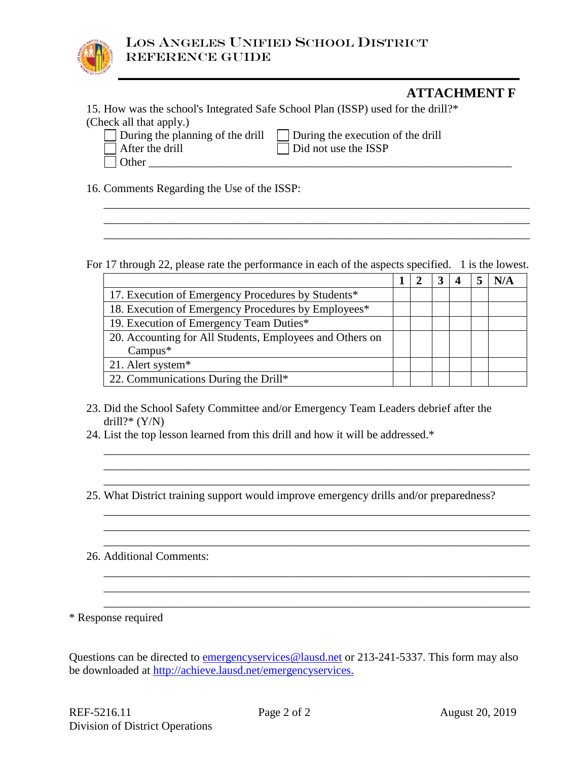

### **ATTACHMENT F**

15. How was the school's Integrated Safe School Plan (ISSP) used for the drill?\* (Check all that apply.)

Other \_\_\_\_\_\_\_\_\_\_\_\_\_\_\_\_\_\_\_\_\_\_\_\_\_\_\_\_\_\_\_\_\_\_\_\_\_\_\_\_\_\_\_\_\_\_\_\_\_\_\_\_\_\_\_\_\_\_\_\_\_\_\_

|  |  |  | During the planning of the dr |  |  |
|--|--|--|-------------------------------|--|--|
|  |  |  |                               |  |  |

During the planning of the drill  $\Box$  During the execution of the drill After the drill Did not use the ISSP

16. Comments Regarding the Use of the ISSP:

For 17 through 22, please rate the performance in each of the aspects specified. 1 is the lowest.

\_\_\_\_\_\_\_\_\_\_\_\_\_\_\_\_\_\_\_\_\_\_\_\_\_\_\_\_\_\_\_\_\_\_\_\_\_\_\_\_\_\_\_\_\_\_\_\_\_\_\_\_\_\_\_\_\_\_\_\_\_\_\_\_\_\_\_\_\_\_\_\_\_\_ \_\_\_\_\_\_\_\_\_\_\_\_\_\_\_\_\_\_\_\_\_\_\_\_\_\_\_\_\_\_\_\_\_\_\_\_\_\_\_\_\_\_\_\_\_\_\_\_\_\_\_\_\_\_\_\_\_\_\_\_\_\_\_\_\_\_\_\_\_\_\_\_\_\_ \_\_\_\_\_\_\_\_\_\_\_\_\_\_\_\_\_\_\_\_\_\_\_\_\_\_\_\_\_\_\_\_\_\_\_\_\_\_\_\_\_\_\_\_\_\_\_\_\_\_\_\_\_\_\_\_\_\_\_\_\_\_\_\_\_\_\_\_\_\_\_\_\_\_

|                                                          |  |  | N/A |
|----------------------------------------------------------|--|--|-----|
| 17. Execution of Emergency Procedures by Students*       |  |  |     |
| 18. Execution of Emergency Procedures by Employees*      |  |  |     |
| 19. Execution of Emergency Team Duties*                  |  |  |     |
| 20. Accounting for All Students, Employees and Others on |  |  |     |
| $Campus*$                                                |  |  |     |
| 21. Alert system*                                        |  |  |     |
| 22. Communications During the Drill*                     |  |  |     |

\_\_\_\_\_\_\_\_\_\_\_\_\_\_\_\_\_\_\_\_\_\_\_\_\_\_\_\_\_\_\_\_\_\_\_\_\_\_\_\_\_\_\_\_\_\_\_\_\_\_\_\_\_\_\_\_\_\_\_\_\_\_\_\_\_\_\_\_\_\_\_\_\_\_ \_\_\_\_\_\_\_\_\_\_\_\_\_\_\_\_\_\_\_\_\_\_\_\_\_\_\_\_\_\_\_\_\_\_\_\_\_\_\_\_\_\_\_\_\_\_\_\_\_\_\_\_\_\_\_\_\_\_\_\_\_\_\_\_\_\_\_\_\_\_\_\_\_\_ \_\_\_\_\_\_\_\_\_\_\_\_\_\_\_\_\_\_\_\_\_\_\_\_\_\_\_\_\_\_\_\_\_\_\_\_\_\_\_\_\_\_\_\_\_\_\_\_\_\_\_\_\_\_\_\_\_\_\_\_\_\_\_\_\_\_\_\_\_\_\_\_\_\_

\_\_\_\_\_\_\_\_\_\_\_\_\_\_\_\_\_\_\_\_\_\_\_\_\_\_\_\_\_\_\_\_\_\_\_\_\_\_\_\_\_\_\_\_\_\_\_\_\_\_\_\_\_\_\_\_\_\_\_\_\_\_\_\_\_\_\_\_\_\_\_\_\_\_ \_\_\_\_\_\_\_\_\_\_\_\_\_\_\_\_\_\_\_\_\_\_\_\_\_\_\_\_\_\_\_\_\_\_\_\_\_\_\_\_\_\_\_\_\_\_\_\_\_\_\_\_\_\_\_\_\_\_\_\_\_\_\_\_\_\_\_\_\_\_\_\_\_\_ \_\_\_\_\_\_\_\_\_\_\_\_\_\_\_\_\_\_\_\_\_\_\_\_\_\_\_\_\_\_\_\_\_\_\_\_\_\_\_\_\_\_\_\_\_\_\_\_\_\_\_\_\_\_\_\_\_\_\_\_\_\_\_\_\_\_\_\_\_\_\_\_\_\_

\_\_\_\_\_\_\_\_\_\_\_\_\_\_\_\_\_\_\_\_\_\_\_\_\_\_\_\_\_\_\_\_\_\_\_\_\_\_\_\_\_\_\_\_\_\_\_\_\_\_\_\_\_\_\_\_\_\_\_\_\_\_\_\_\_\_\_\_\_\_\_\_\_\_ \_\_\_\_\_\_\_\_\_\_\_\_\_\_\_\_\_\_\_\_\_\_\_\_\_\_\_\_\_\_\_\_\_\_\_\_\_\_\_\_\_\_\_\_\_\_\_\_\_\_\_\_\_\_\_\_\_\_\_\_\_\_\_\_\_\_\_\_\_\_\_\_\_\_ \_\_\_\_\_\_\_\_\_\_\_\_\_\_\_\_\_\_\_\_\_\_\_\_\_\_\_\_\_\_\_\_\_\_\_\_\_\_\_\_\_\_\_\_\_\_\_\_\_\_\_\_\_\_\_\_\_\_\_\_\_\_\_\_\_\_\_\_\_\_\_\_\_\_

- 23. Did the School Safety Committee and/or Emergency Team Leaders debrief after the drill?\*  $(Y/N)$
- 24. List the top lesson learned from this drill and how it will be addressed.\*
- 25. What District training support would improve emergency drills and/or preparedness?
- 26. Additional Comments:

\* Response required

Questions can be directed to [emergencyservices@lausd.net](mailto:emergencyservices@lausd.net) or 213-241-5337. This form may also be downloaded at<http://achieve.lausd.net/>emergencyservices.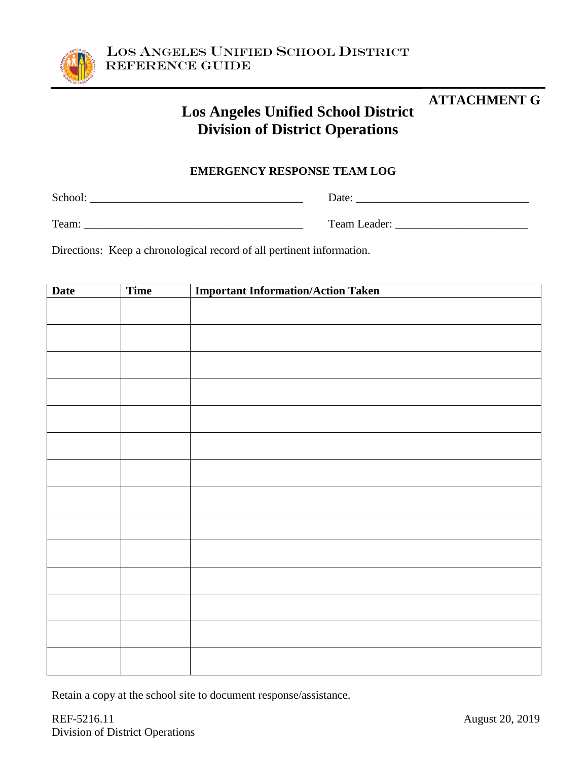

# **Los Angeles Unified School District Division of District Operations**

### **EMERGENCY RESPONSE TEAM LOG**

School: \_\_\_\_\_\_\_\_\_\_\_\_\_\_\_\_\_\_\_\_\_\_\_\_\_\_\_\_\_\_\_\_\_\_\_\_\_ Date: \_\_\_\_\_\_\_\_\_\_\_\_\_\_\_\_\_\_\_\_\_\_\_\_\_\_\_\_\_\_

Team: \_\_\_\_\_\_\_\_\_\_\_\_\_\_\_\_\_\_\_\_\_\_\_\_\_\_\_\_\_\_\_\_\_\_\_\_\_\_ Team Leader: \_\_\_\_\_\_\_\_\_\_\_\_\_\_\_\_\_\_\_\_\_\_\_

Directions: Keep a chronological record of all pertinent information.

| <b>Date</b> | Time | <b>Important Information/Action Taken</b> |
|-------------|------|-------------------------------------------|
|             |      |                                           |
|             |      |                                           |
|             |      |                                           |
|             |      |                                           |
|             |      |                                           |
|             |      |                                           |
|             |      |                                           |
|             |      |                                           |
|             |      |                                           |
|             |      |                                           |
|             |      |                                           |
|             |      |                                           |
|             |      |                                           |
|             |      |                                           |
|             |      |                                           |

Retain a copy at the school site to document response/assistance.

**ATTACHMENT G**